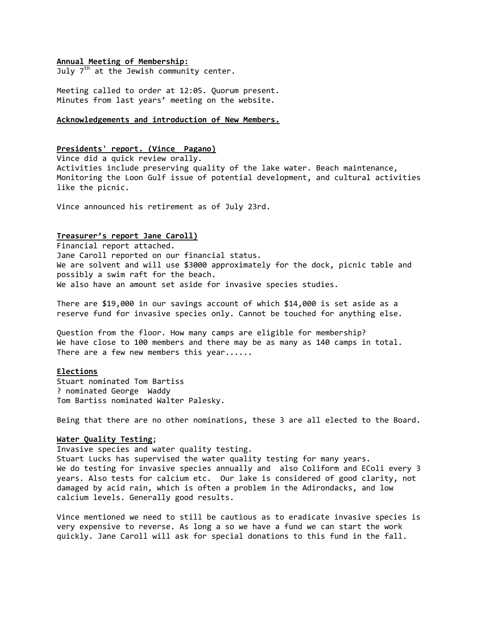### **Annual Meeting of Membership:**

July  $7<sup>th</sup>$  at the Jewish community center.

Meeting called to order at 12:05. Quorum present. Minutes from last years' meeting on the website.

# **Acknowledgements and introduction of New Members.**

# **Presidents' report. (Vince \_Pagano)**

Vince did a quick review orally. Activities include preserving quality of the lake water. Beach maintenance, Monitoring the Loon Gulf issue of potential development, and cultural activities like the picnic.

Vince announced his retirement as of July 23rd.

# **Treasurer's report Jane Caroll)**

Financial report attached. Jane Caroll reported on our financial status. We are solvent and will use \$3000 approximately for the dock, picnic table and possibly a swim raft for the beach. We also have an amount set aside for invasive species studies.

There are \$19,000 in our savings account of which \$14,000 is set aside as a reserve fund for invasive species only. Cannot be touched for anything else.

Question from the floor. How many camps are eligible for membership? We have close to 100 members and there may be as many as 140 camps in total. There are a few new members this year......

# **Elections**

Stuart nominated Tom Bartiss ? nominated George Waddy Tom Bartiss nominated Walter Palesky.

Being that there are no other nominations, these 3 are all elected to the Board.

# **Water Quality Testing**;

Invasive species and water quality testing. Stuart Lucks has supervised the water quality testing for many years. We do testing for invasive species annually and also Coliform and EColi every 3 years. Also tests for calcium etc. Our lake is considered of good clarity, not damaged by acid rain, which is often a problem in the Adirondacks, and low calcium levels. Generally good results.

Vince mentioned we need to still be cautious as to eradicate invasive species is very expensive to reverse. As long a so we have a fund we can start the work quickly. Jane Caroll will ask for special donations to this fund in the fall.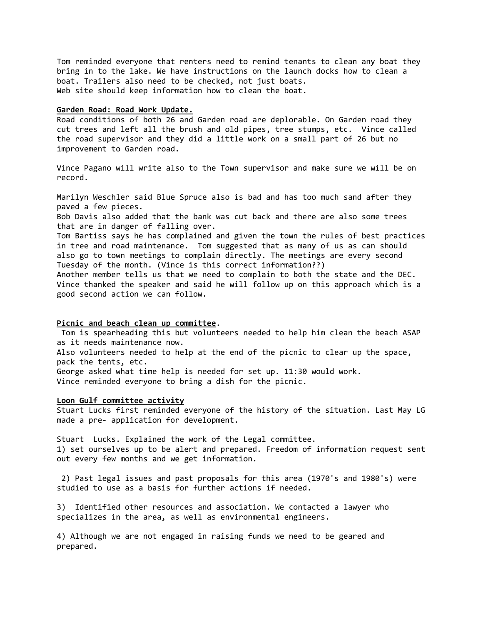Tom reminded everyone that renters need to remind tenants to clean any boat they bring in to the lake. We have instructions on the launch docks how to clean a boat. Trailers also need to be checked, not just boats. Web site should keep information how to clean the boat.

#### **Garden Road: Road Work Update.**

Road conditions of both 26 and Garden road are deplorable. On Garden road they cut trees and left all the brush and old pipes, tree stumps, etc. Vince called the road supervisor and they did a little work on a small part of 26 but no improvement to Garden road.

Vince Pagano will write also to the Town supervisor and make sure we will be on record.

Marilyn Weschler said Blue Spruce also is bad and has too much sand after they paved a few pieces.

Bob Davis also added that the bank was cut back and there are also some trees that are in danger of falling over.

Tom Bartiss says he has complained and given the town the rules of best practices in tree and road maintenance. Tom suggested that as many of us as can should also go to town meetings to complain directly. The meetings are every second Tuesday of the month. (Vince is this correct information??)

Another member tells us that we need to complain to both the state and the DEC. Vince thanked the speaker and said he will follow up on this approach which is a good second action we can follow.

# **Picnic and beach clean up committee**.

Tom is spearheading this but volunteers needed to help him clean the beach ASAP as it needs maintenance now. Also volunteers needed to help at the end of the picnic to clear up the space, pack the tents, etc. George asked what time help is needed for set up. 11:30 would work. Vince reminded everyone to bring a dish for the picnic.

#### **Loon Gulf committee activity**

Stuart Lucks first reminded everyone of the history of the situation. Last May LG made a pre- application for development.

Stuart Lucks. Explained the work of the Legal committee. 1) set ourselves up to be alert and prepared. Freedom of information request sent out every few months and we get information.

2) Past legal issues and past proposals for this area (1970's and 1980's) were studied to use as a basis for further actions if needed.

3) Identified other resources and association. We contacted a lawyer who specializes in the area, as well as environmental engineers.

4) Although we are not engaged in raising funds we need to be geared and prepared.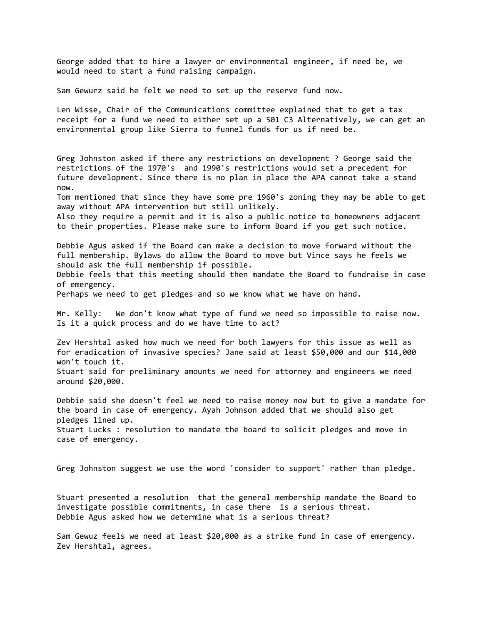George added that to hire a lawyer or environmental engineer, if need be, we would need to start a fund raising campaign.

Sam Gewurz said he felt we need to set up the reserve fund now.

Len Wisse, Chair of the Communications committee explained that to get a tax receipt for a fund we need to either set up a 501 C3 Alternatively, we can get an environmental group like Sierra to funnel funds for us if need be.

Greg Johnston asked if there any restrictions on development ? George said the restrictions of the 1970's and 1990's restrictions would set a precedent for future development. Since there is no plan in place the APA cannot take a stand now.

Tom mentioned that since they have some pre 1960's zoning they may be able to get away without APA intervention but still unlikely.

Also they require a permit and it is also a public notice to homeowners adjacent to their properties. Please make sure to inform Board if you get such notice.

Debbie Agus asked if the Board can make a decision to move forward without the full membership. Bylaws do allow the Board to move but Vince says he feels we should ask the full membership if possible.

Debbie feels that this meeting should then mandate the Board to fundraise in case of emergency.

Perhaps we need to get pledges and so we know what we have on hand.

Mr. Kelly: We don't know what type of fund we need so impossible to raise now. Is it a quick process and do we have time to act?

Zev Hershtal asked how much we need for both lawyers for this issue as well as for eradication of invasive species? Jane said at least \$50,000 and our \$14,000 won't touch it. Stuart said for preliminary amounts we need for attorney and engineers we need around \$20,000.

Debbie said she doesn't feel we need to raise money now but to give a mandate for the board in case of emergency. Ayah Johnson added that we should also get pledges lined up. Stuart Lucks : resolution to mandate the board to solicit pledges and move in case of emergency.

Greg Johnston suggest we use the word 'consider to support' rather than pledge.

Stuart presented a resolution that the general membership mandate the Board to investigate possible commitments, in case there is a serious threat. Debbie Agus asked how we determine what is a serious threat?

Sam Gewuz feels we need at least \$20,000 as a strike fund in case of emergency. Zev Hershtal, agrees.